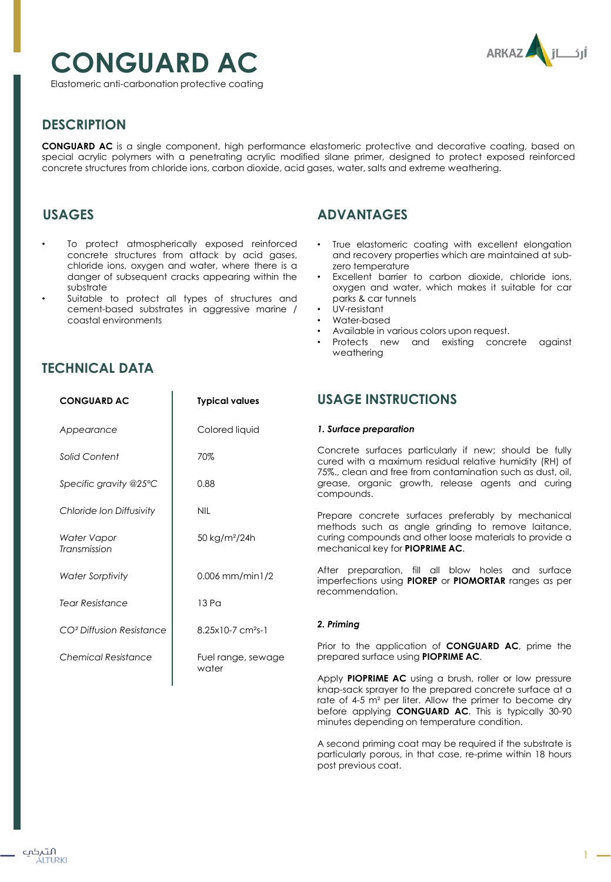

# **CONGUARD AC**

Elastomeric anti-carbonation protective coating

# **DESCRIPTION**

**CONGUARD AC** is a single component, high performance elastomeric protective and decorative coating, based on special acrylic polymers with a penetrating acrylic modified silane primer, designed to protect exposed reinforced concrete structures from chloride ions, carbon dioxide, acid gases, water, salts and extreme weathering.

## **USAGES**

- To protect atmospherically exposed reinforced concrete structures from attack by acid gases, chloride ions, oxygen and water, where there is a danger of subsequent cracks appearing within the substrate
- Suitable to protect all types of structures and cement-based substrates in aggressive marine / coastal environments

**CONGUARD AC Typical values**

# **ADVANTAGES**

- True elastomeric coating with excellent elongation and recovery properties which are maintained at subzero temperature
- Excellent barrier to carbon dioxide, chloride ions, oxygen and water, which makes it suitable for car parks & car tunnels
- UV-resistant
- Water-based
- Available in various colors upon request.
- Protects new and existing concrete against weathering

### **TECHNICAL DATA**

| Appearance                           | Colored liquid                | 1. Surface preparation                                                                                                            |
|--------------------------------------|-------------------------------|-----------------------------------------------------------------------------------------------------------------------------------|
| Solid Content                        | 70%                           | Concrete surfaces particul<br>cured with a maximum resig<br>75%., clean and free from co<br>grease, organic growth,<br>compounds. |
| Specific gravity @25°C               | 0.88                          |                                                                                                                                   |
| Chloride Ion Diffusivity             | <b>NIL</b>                    | Prepare concrete surfaces<br>methods such as angle g<br>curing compounds and other<br>mechanical key for <b>PIOPRIM</b>           |
| Water Vapor<br>Transmission          | 50 kg/m <sup>2</sup> /24h     |                                                                                                                                   |
| <b>Water Sorptivity</b>              | $0.006$ mm/min1/2             | After preparation, fill all<br>imperfections using <b>PIOREP</b><br>recommendation.                                               |
| <b>Tear Resistance</b>               | 13 Pa                         |                                                                                                                                   |
| CO <sup>2</sup> Diffusion Resistance | 8.25x10-7 cm <sup>2</sup> s-1 | 2. Priming                                                                                                                        |
| <b>Chemical Resistance</b>           | Fuel range, sewage            | Prior to the application of<br>prepared surface using <b>PIOP</b>                                                                 |
|                                      | water                         | Apply PIOPRIME AC using a<br>knan-sack sprayer to the pre                                                                         |

# **USAGE INSTRUCTIONS**

larly if new; should be fully dual relative humidity (RH) of ontamination such as dust, oil, release agents and curing

preferably by mechanical inding to remove laitance, er loose materials to provide a mechanical key for **PIOPRIME AC**.

blow holes and surface or **PIOMORTAR** ranges as per

**CONGUARD AC**, prime the **RIME AC.** 

a brush, roller or low pressure knap-sack sprayer to the prepared concrete surface at a rate of 4-5 m² per liter. Allow the primer to become dry before applying **CONGUARD AC**. This is typically 30-90 minutes depending on temperature condition.

A second priming coat may be required if the substrate is particularly porous, in that case, re-prime within 18 hours post previous coat.